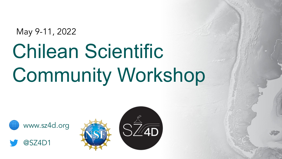May 9-11, 2022

# Chilean Scientific Community Workshop





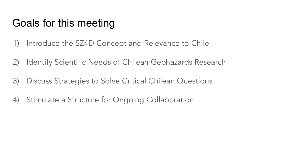- 1) Introduce the SZ4D Concept and Relevance to Chile
- 2) Identify Scientific Needs of Chilean Geohazards Research
- 3) Discuss Strategies to Solve Critical Chilean Questions
- 4) Stimulate a Structure for Ongoing Collaboration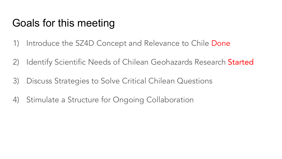- 1) Introduce the SZ4D Concept and Relevance to Chile Done
- 2) Identify Scientific Needs of Chilean Geohazards Research Started
- 3) Discuss Strategies to Solve Critical Chilean Questions
- 4) Stimulate a Structure for Ongoing Collaboration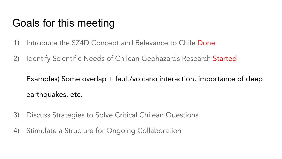- 1) Introduce the SZ4D Concept and Relevance to Chile Done
- 2) Identify Scientific Needs of Chilean Geohazards Research Started

Examples) Some overlap + fault/volcano interaction, importance of deep earthquakes, etc.

- 3) Discuss Strategies to Solve Critical Chilean Questions
- 4) Stimulate a Structure for Ongoing Collaboration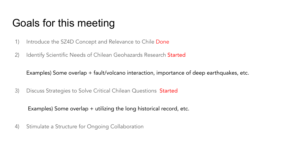- 1) Introduce the SZ4D Concept and Relevance to Chile Done
- 2) Identify Scientific Needs of Chilean Geohazards Research Started

Examples) Some overlap + fault/volcano interaction, importance of deep earthquakes, etc.

3) Discuss Strategies to Solve Critical Chilean Questions Started

Examples) Some overlap + utilizing the long historical record, etc.

4) Stimulate a Structure for Ongoing Collaboration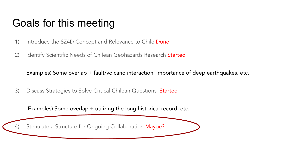- 1) Introduce the SZ4D Concept and Relevance to Chile Done
- 2) Identify Scientific Needs of Chilean Geohazards Research Started

Examples) Some overlap + fault/volcano interaction, importance of deep earthquakes, etc.

3) Discuss Strategies to Solve Critical Chilean Questions Started

Examples) Some overlap + utilizing the long historical record, etc.

4) Stimulate a Structure for Ongoing Collaboration Maybe?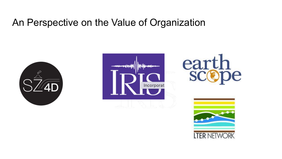#### An Perspective on the Value of Organization







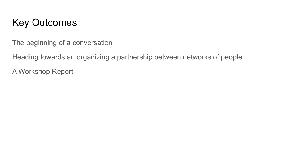#### Key Outcomes

The beginning of a conversation

Heading towards an organizing a partnership between networks of people

A Workshop Report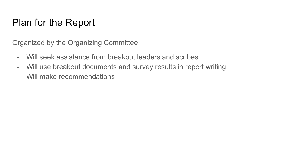#### Plan for the Report

Organized by the Organizing Committee

- Will seek assistance from breakout leaders and scribes
- Will use breakout documents and survey results in report writing
- Will make recommendations